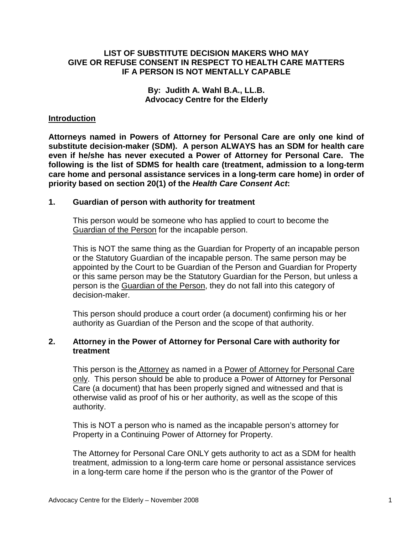## **LIST OF SUBSTITUTE DECISION MAKERS WHO MAY GIVE OR REFUSE CONSENT IN RESPECT TO HEALTH CARE MATTERS IF A PERSON IS NOT MENTALLY CAPABLE**

#### **By: Judith A. Wahl B.A., LL.B. Advocacy Centre for the Elderly**

#### **Introduction**

**Attorneys named in Powers of Attorney for Personal Care are only one kind of substitute decision-maker (SDM). A person ALWAYS has an SDM for health care even if he/she has never executed a Power of Attorney for Personal Care. The following is the list of SDMS for health care (treatment, admission to a long-term care home and personal assistance services in a long-term care home) in order of priority based on section 20(1) of the Health Care Consent Act:** 

#### **1. Guardian of person with authority for treatment**

 This person would be someone who has applied to court to become the Guardian of the Person for the incapable person.

This is NOT the same thing as the Guardian for Property of an incapable person or the Statutory Guardian of the incapable person. The same person may be appointed by the Court to be Guardian of the Person and Guardian for Property or this same person may be the Statutory Guardian for the Person, but unless a person is the Guardian of the Person, they do not fall into this category of decision-maker.

This person should produce a court order (a document) confirming his or her authority as Guardian of the Person and the scope of that authority.

## **2. Attorney in the Power of Attorney for Personal Care with authority for treatment**

 This person is the Attorney as named in a Power of Attorney for Personal Care only. This person should be able to produce a Power of Attorney for Personal Care (a document) that has been properly signed and witnessed and that is otherwise valid as proof of his or her authority, as well as the scope of this authority.

This is NOT a person who is named as the incapable person's attorney for Property in a Continuing Power of Attorney for Property.

The Attorney for Personal Care ONLY gets authority to act as a SDM for health treatment, admission to a long-term care home or personal assistance services in a long-term care home if the person who is the grantor of the Power of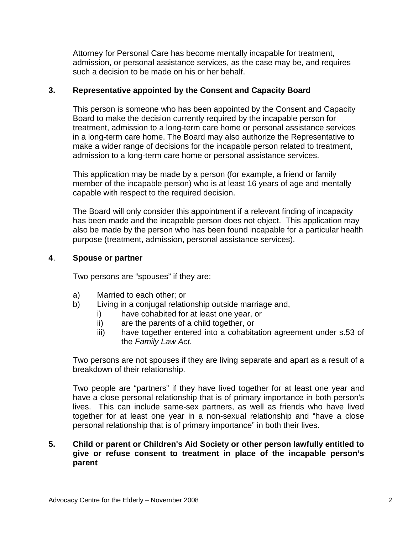Attorney for Personal Care has become mentally incapable for treatment, admission, or personal assistance services, as the case may be, and requires such a decision to be made on his or her behalf.

## **3. Representative appointed by the Consent and Capacity Board**

 This person is someone who has been appointed by the Consent and Capacity Board to make the decision currently required by the incapable person for treatment, admission to a long-term care home or personal assistance services in a long-term care home. The Board may also authorize the Representative to make a wider range of decisions for the incapable person related to treatment, admission to a long-term care home or personal assistance services.

This application may be made by a person (for example, a friend or family member of the incapable person) who is at least 16 years of age and mentally capable with respect to the required decision.

The Board will only consider this appointment if a relevant finding of incapacity has been made and the incapable person does not object. This application may also be made by the person who has been found incapable for a particular health purpose (treatment, admission, personal assistance services).

### **4**. **Spouse or partner**

Two persons are "spouses" if they are:

- a) Married to each other; or
- b) Living in a conjugal relationship outside marriage and,
	- i) have cohabited for at least one year, or
	- ii) are the parents of a child together, or
	- iii) have together entered into a cohabitation agreement under s.53 of the Family Law Act.

Two persons are not spouses if they are living separate and apart as a result of a breakdown of their relationship.

Two people are "partners" if they have lived together for at least one year and have a close personal relationship that is of primary importance in both person's lives. This can include same-sex partners, as well as friends who have lived together for at least one year in a non-sexual relationship and "have a close personal relationship that is of primary importance" in both their lives.

## **5. Child or parent or Children's Aid Society or other person lawfully entitled to give or refuse consent to treatment in place of the incapable person's parent**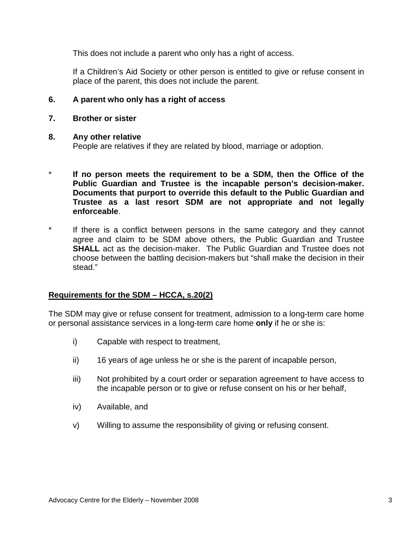This does not include a parent who only has a right of access.

 If a Children's Aid Society or other person is entitled to give or refuse consent in place of the parent, this does not include the parent.

## **6. A parent who only has a right of access**

**7. Brother or sister** 

### **8. Any other relative**

People are relatives if they are related by blood, marriage or adoption.

- If no person meets the requirement to be a SDM, then the Office of the **Public Guardian and Trustee is the incapable person's decision-maker. Documents that purport to override this default to the Public Guardian and Trustee as a last resort SDM are not appropriate and not legally enforceable**.
- If there is a conflict between persons in the same category and they cannot agree and claim to be SDM above others, the Public Guardian and Trustee **SHALL** act as the decision-maker. The Public Guardian and Trustee does not choose between the battling decision-makers but "shall make the decision in their stead."

## **Requirements for the SDM – HCCA, s.20(2)**

The SDM may give or refuse consent for treatment, admission to a long-term care home or personal assistance services in a long-term care home **only** if he or she is:

- i) Capable with respect to treatment,
- ii) 16 years of age unless he or she is the parent of incapable person,
- iii) Not prohibited by a court order or separation agreement to have access to the incapable person or to give or refuse consent on his or her behalf,
- iv) Available, and
- v) Willing to assume the responsibility of giving or refusing consent.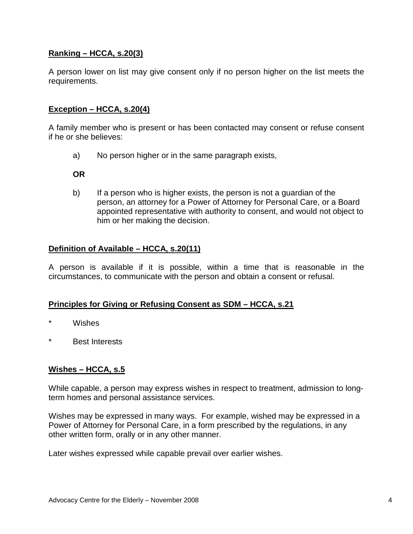# **Ranking – HCCA, s.20(3)**

A person lower on list may give consent only if no person higher on the list meets the requirements.

## **Exception – HCCA, s.20(4)**

A family member who is present or has been contacted may consent or refuse consent if he or she believes:

a) No person higher or in the same paragraph exists,

**OR**

b) If a person who is higher exists, the person is not a guardian of the person, an attorney for a Power of Attorney for Personal Care, or a Board appointed representative with authority to consent, and would not object to him or her making the decision.

## **Definition of Available – HCCA, s.20(11)**

A person is available if it is possible, within a time that is reasonable in the circumstances, to communicate with the person and obtain a consent or refusal.

## **Principles for Giving or Refusing Consent as SDM – HCCA, s.21**

- Wishes
- **Best Interests**

# **Wishes – HCCA, s.5**

While capable, a person may express wishes in respect to treatment, admission to longterm homes and personal assistance services.

Wishes may be expressed in many ways. For example, wished may be expressed in a Power of Attorney for Personal Care, in a form prescribed by the regulations, in any other written form, orally or in any other manner.

Later wishes expressed while capable prevail over earlier wishes.